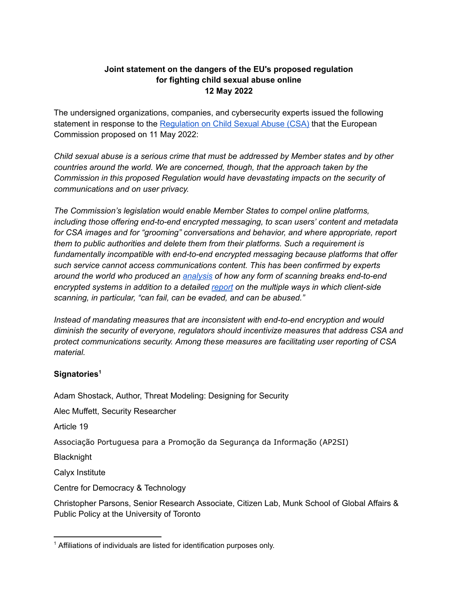## **Joint statement on the dangers of the EU's proposed regulation for fighting child sexual abuse online 12 May 2022**

The undersigned organizations, companies, and cybersecurity experts issued the following statement in response to the [Regulation](https://ec.europa.eu/home-affairs/proposal-regulation-laying-down-rules-prevent-and-combat-child-sexual-abuse_en) on Child Sexual Abuse (CSA) that the European Commission proposed on 11 May 2022:

*Child sexual abuse is a serious crime that must be addressed by Member states and by other countries around the world. We are concerned, though, that the approach taken by the Commission in this proposed Regulation would have devastating impacts on the security of communications and on user privacy.*

*The Commission's legislation would enable Member States to compel online platforms, including those offering end-to-end encrypted messaging, to scan users' content and metadata for CSA images and for "grooming" conversations and behavior, and where appropriate, report them to public authorities and delete them from their platforms. Such a requirement is fundamentally incompatible with end-to-end encrypted messaging because platforms that offer such service cannot access communications content. This has been confirmed by experts around the world who produced an [analysis](https://www.globalencryption.org/wp-content/uploads/2020/11/2020-Breaking-Encryption-Myths.pdf) of how any form of scanning breaks end-to-end encrypted systems in addition to a detailed [report](https://fletcher.tufts.edu/news-events/news/bugs-our-pockets-risks-client-side-scanning) on the multiple ways in which client-side scanning, in particular, "can fail, can be evaded, and can be abused."*

*Instead of mandating measures that are inconsistent with end-to-end encryption and would diminish the security of everyone, regulators should incentivize measures that address CSA and protect communications security. Among these measures are facilitating user reporting of CSA material.*

## **Signatories 1**

Adam Shostack, Author, Threat Modeling: Designing for Security

Alec Muffett, Security Researcher

Article 19

Associação Portuguesa para a Promoção da Segurança da Informação (AP2SI)

**Blacknight** 

Calyx Institute

Centre for Democracy & Technology

Christopher Parsons, Senior Research Associate, Citizen Lab, Munk School of Global Affairs & Public Policy at the University of Toronto

<sup>&</sup>lt;sup>1</sup> Affiliations of individuals are listed for identification purposes only.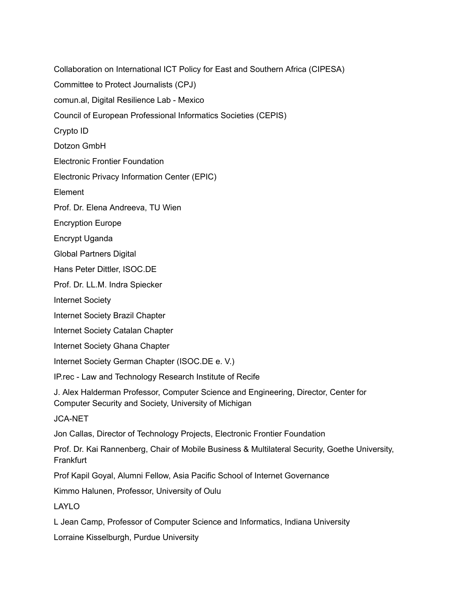Committee to Protect Journalists (CPJ) comun.al, Digital Resilience Lab - Mexico Council of European Professional Informatics Societies (CEPIS) Crypto ID Dotzon GmbH Electronic Frontier Foundation Electronic Privacy Information Center (EPIC) Element Prof. Dr. Elena Andreeva, TU Wien Encryption Europe Encrypt Uganda Global Partners Digital Hans Peter Dittler, ISOC.DE Prof. Dr. LL.M. Indra Spiecker Internet Society Internet Society Brazil Chapter Internet Society Catalan Chapter Internet Society Ghana Chapter Internet Society German Chapter (ISOC.DE e. V.) IP.rec - Law and Technology Research Institute of Recife J. Alex Halderman Professor, Computer Science and Engineering, Director, Center for Computer Security and Society, University of Michigan JCA-NET Jon Callas, Director of Technology Projects, Electronic Frontier Foundation Prof. Dr. Kai Rannenberg, Chair of Mobile Business & Multilateral Security, Goethe University, **Frankfurt** Prof Kapil Goyal, Alumni Fellow, Asia Pacific School of Internet Governance Kimmo Halunen, Professor, University of Oulu LAYLO L Jean Camp, Professor of Computer Science and Informatics, Indiana University Lorraine Kisselburgh, Purdue University

Collaboration on International ICT Policy for East and Southern Africa (CIPESA)